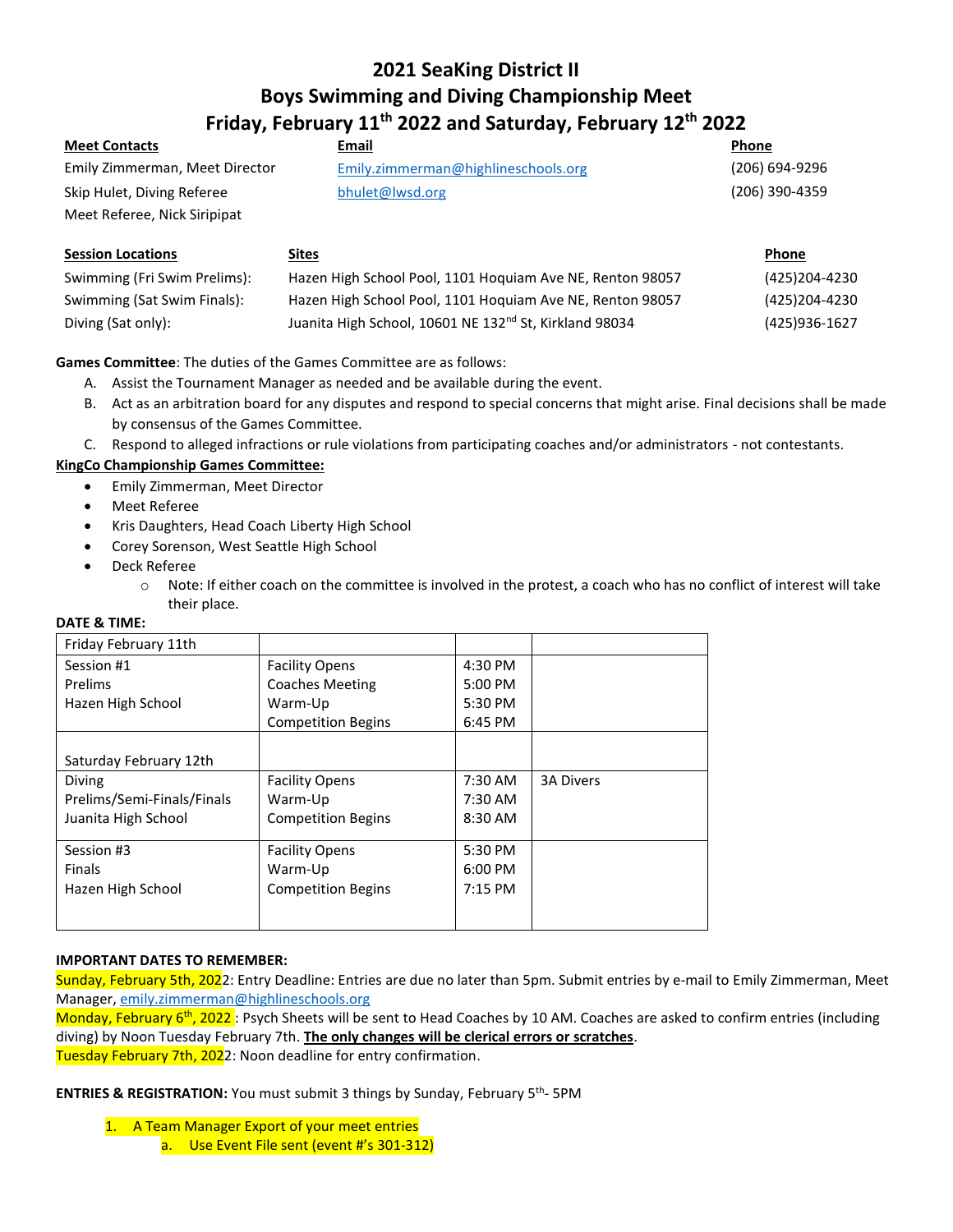# **2021 SeaKing District II Boys Swimming and Diving Championship Meet Friday, February 11th 2022 and Saturday, February 12th 2022**

| <b>Meet Contacts</b>           | Email                                | <b>Phone</b>   |
|--------------------------------|--------------------------------------|----------------|
| Emily Zimmerman, Meet Director | Emily. zimmerman@highlineschools.org | (206) 694-9296 |
| Skip Hulet, Diving Referee     | bhulet@lwsd.org                      | (206) 390-4359 |
| Meet Referee, Nick Siripipat   |                                      |                |

| <b>Session Locations</b>     | <u>Sites</u>                                                       | Phone         |
|------------------------------|--------------------------------------------------------------------|---------------|
| Swimming (Fri Swim Prelims): | Hazen High School Pool, 1101 Hoquiam Ave NE, Renton 98057          | (425)204-4230 |
| Swimming (Sat Swim Finals):  | Hazen High School Pool, 1101 Hoquiam Ave NE, Renton 98057          | (425)204-4230 |
| Diving (Sat only):           | Juanita High School, 10601 NE 132 <sup>nd</sup> St, Kirkland 98034 | (425)936-1627 |

# **Games Committee**: The duties of the Games Committee are as follows:

- A. Assist the Tournament Manager as needed and be available during the event.
- B. Act as an arbitration board for any disputes and respond to special concerns that might arise. Final decisions shall be made by consensus of the Games Committee.
- C. Respond to alleged infractions or rule violations from participating coaches and/or administrators not contestants.

## **KingCo Championship Games Committee:**

- Emily Zimmerman, Meet Director
- Meet Referee
- Kris Daughters, Head Coach Liberty High School
- Corey Sorenson, West Seattle High School
- Deck Referee
	- $\circ$  Note: If either coach on the committee is involved in the protest, a coach who has no conflict of interest will take their place.

## **DATE & TIME:**

| Friday February 11th       |                           |           |                  |
|----------------------------|---------------------------|-----------|------------------|
| Session #1                 | <b>Facility Opens</b>     | $4:30$ PM |                  |
| <b>Prelims</b>             | <b>Coaches Meeting</b>    | 5:00 PM   |                  |
| Hazen High School          | Warm-Up                   | 5:30 PM   |                  |
|                            | <b>Competition Begins</b> | 6:45 PM   |                  |
|                            |                           |           |                  |
| Saturday February 12th     |                           |           |                  |
| Diving                     | <b>Facility Opens</b>     | 7:30 AM   | <b>3A Divers</b> |
| Prelims/Semi-Finals/Finals | Warm-Up                   | 7:30 AM   |                  |
| Juanita High School        | <b>Competition Begins</b> | $8:30$ AM |                  |
|                            |                           |           |                  |
| Session #3                 | <b>Facility Opens</b>     | 5:30 PM   |                  |
| <b>Finals</b>              | Warm-Up                   | $6:00$ PM |                  |
| Hazen High School          | <b>Competition Begins</b> | $7:15$ PM |                  |
|                            |                           |           |                  |
|                            |                           |           |                  |

## **IMPORTANT DATES TO REMEMBER:**

Sunday, February 5th, 2022: Entry Deadline: Entries are due no later than 5pm. Submit entries by e-mail to Emily Zimmerman, Meet Manager, [emily.zimmerman@highlineschools.org](mailto:emily.zimmerman@highlineschools.org)

Monday, February 6<sup>th</sup>, 2022: Psych Sheets will be sent to Head Coaches by 10 AM. Coaches are asked to confirm entries (including diving) by Noon Tuesday February 7th. **The only changes will be clerical errors or scratches**. Tuesday February 7th, 2022: Noon deadline for entry confirmation.

**ENTRIES & REGISTRATION:** You must submit 3 things by Sunday, February 5th - 5PM

- 1. A Team Manager Export of your meet entries
	- a. Use Event File sent (event #'s 301-312)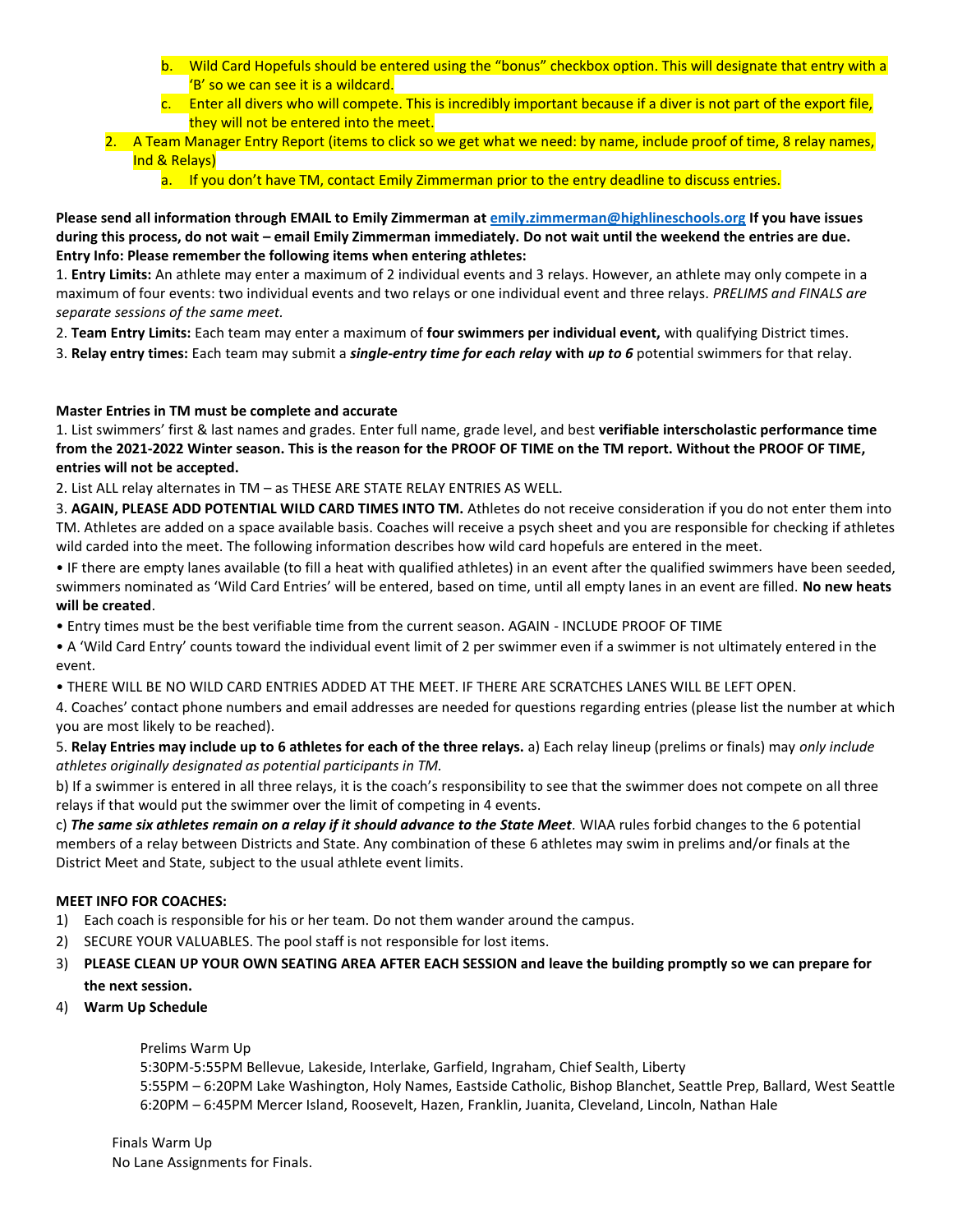- b. Wild Card Hopefuls should be entered using the "bonus" checkbox option. This will designate that entry with a 'B' so we can see it is a wildcard.
- c. Enter all divers who will compete. This is incredibly important because if a diver is not part of the export file, they will not be entered into the meet.
- 2. A Team Manager Entry Report (items to click so we get what we need: by name, include proof of time, 8 relay names, Ind & Relays)
	- a. If you don't have TM, contact Emily Zimmerman prior to the entry deadline to discuss entries.

**Please send all information through EMAIL to Emily Zimmerman at [emily.zimmerman@highlineschools.org](mailto:emily.zimmerman@highlineschools.org) If you have issues during this process, do not wait – email Emily Zimmerman immediately. Do not wait until the weekend the entries are due. Entry Info: Please remember the following items when entering athletes:** 

1. **Entry Limits:** An athlete may enter a maximum of 2 individual events and 3 relays. However, an athlete may only compete in a maximum of four events: two individual events and two relays or one individual event and three relays. *PRELIMS and FINALS are separate sessions of the same meet.* 

2. **Team Entry Limits:** Each team may enter a maximum of **four swimmers per individual event,** with qualifying District times.

3. **Relay entry times:** Each team may submit a *single-entry time for each relay* **with** *up to 6* potential swimmers for that relay.

# **Master Entries in TM must be complete and accurate**

1. List swimmers' first & last names and grades. Enter full name, grade level, and best **verifiable interscholastic performance time from the 2021-2022 Winter season. This is the reason for the PROOF OF TIME on the TM report. Without the PROOF OF TIME, entries will not be accepted.** 

2. List ALL relay alternates in TM – as THESE ARE STATE RELAY ENTRIES AS WELL.

3. **AGAIN, PLEASE ADD POTENTIAL WILD CARD TIMES INTO TM.** Athletes do not receive consideration if you do not enter them into TM. Athletes are added on a space available basis. Coaches will receive a psych sheet and you are responsible for checking if athletes wild carded into the meet. The following information describes how wild card hopefuls are entered in the meet.

• IF there are empty lanes available (to fill a heat with qualified athletes) in an event after the qualified swimmers have been seeded, swimmers nominated as 'Wild Card Entries' will be entered, based on time, until all empty lanes in an event are filled. **No new heats will be created**.

• Entry times must be the best verifiable time from the current season. AGAIN - INCLUDE PROOF OF TIME

• A 'Wild Card Entry' counts toward the individual event limit of 2 per swimmer even if a swimmer is not ultimately entered in the event.

• THERE WILL BE NO WILD CARD ENTRIES ADDED AT THE MEET. IF THERE ARE SCRATCHES LANES WILL BE LEFT OPEN.

4. Coaches' contact phone numbers and email addresses are needed for questions regarding entries (please list the number at which you are most likely to be reached).

5. **Relay Entries may include up to 6 athletes for each of the three relays.** a) Each relay lineup (prelims or finals) may *only include athletes originally designated as potential participants in TM.* 

b) If a swimmer is entered in all three relays, it is the coach's responsibility to see that the swimmer does not compete on all three relays if that would put the swimmer over the limit of competing in 4 events.

c) *The same six athletes remain on a relay if it should advance to the State Meet.* WIAA rules forbid changes to the 6 potential members of a relay between Districts and State. Any combination of these 6 athletes may swim in prelims and/or finals at the District Meet and State, subject to the usual athlete event limits.

# **MEET INFO FOR COACHES:**

- 1) Each coach is responsible for his or her team. Do not them wander around the campus.
- 2) SECURE YOUR VALUABLES. The pool staff is not responsible for lost items.
- 3) **PLEASE CLEAN UP YOUR OWN SEATING AREA AFTER EACH SESSION and leave the building promptly so we can prepare for the next session.**
- 4) **Warm Up Schedule**

Prelims Warm Up

5:30PM-5:55PM Bellevue, Lakeside, Interlake, Garfield, Ingraham, Chief Sealth, Liberty

5:55PM – 6:20PM Lake Washington, Holy Names, Eastside Catholic, Bishop Blanchet, Seattle Prep, Ballard, West Seattle 6:20PM – 6:45PM Mercer Island, Roosevelt, Hazen, Franklin, Juanita, Cleveland, Lincoln, Nathan Hale

Finals Warm Up No Lane Assignments for Finals.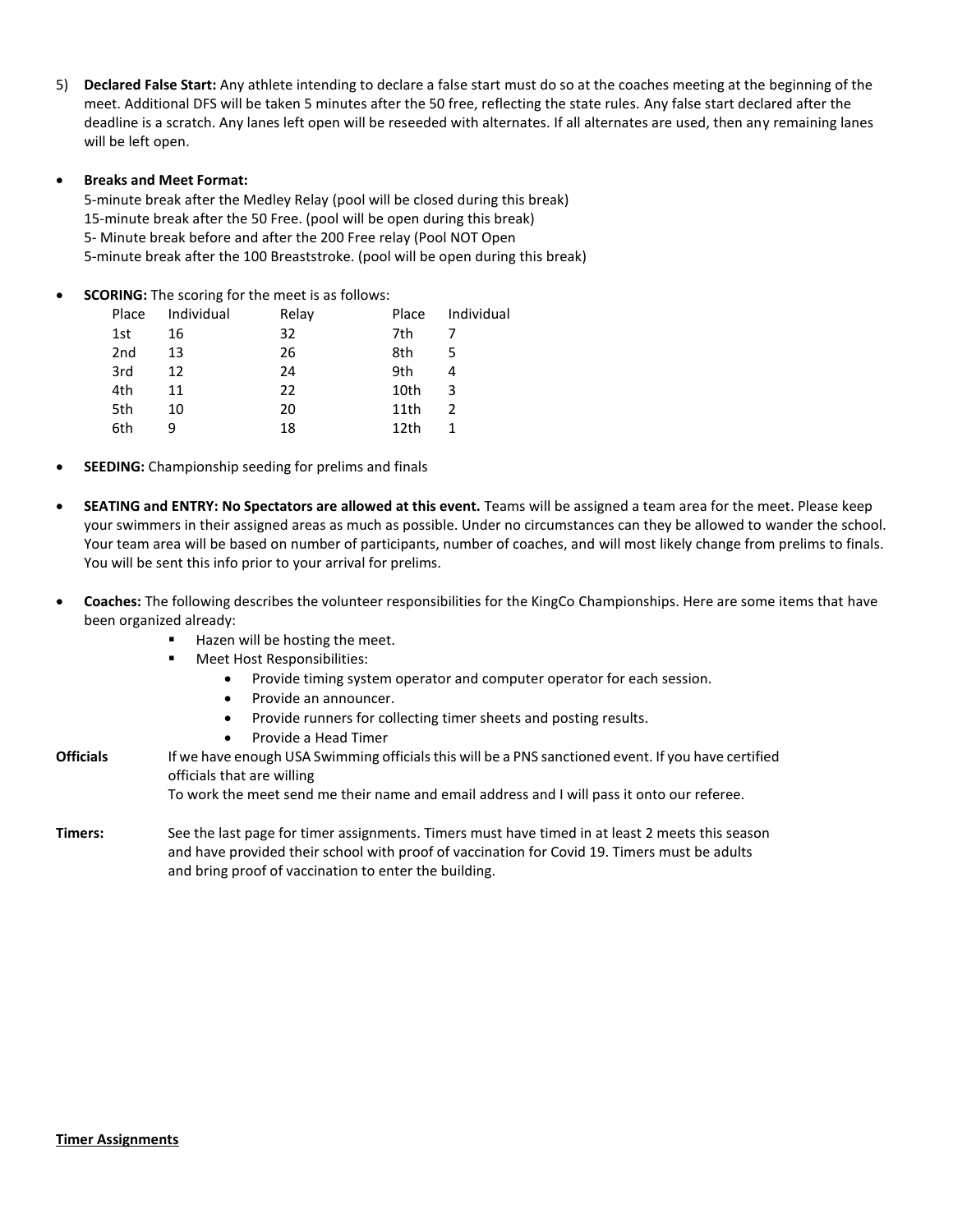5) **Declared False Start:** Any athlete intending to declare a false start must do so at the coaches meeting at the beginning of the meet. Additional DFS will be taken 5 minutes after the 50 free, reflecting the state rules. Any false start declared after the deadline is a scratch. Any lanes left open will be reseeded with alternates. If all alternates are used, then any remaining lanes will be left open.

#### • **Breaks and Meet Format:**

5-minute break after the Medley Relay (pool will be closed during this break) 15-minute break after the 50 Free. (pool will be open during this break) 5- Minute break before and after the 200 Free relay (Pool NOT Open 5-minute break after the 100 Breaststroke. (pool will be open during this break)

**SCORING:** The scoring for the meet is as follows:

| Place | Individual | Relay | Place            | Individual    |
|-------|------------|-------|------------------|---------------|
| 1st   | 16         | 32    | 7th              |               |
| 2nd   | 13         | 26    | 8th              | 5             |
| 3rd   | 12         | 24    | 9th              |               |
| 4th   | 11         | 22    | 10th             | 3             |
| 5th   | 10         | 20    | 11th             | $\mathcal{P}$ |
| 6th   |            | 18    | 12 <sub>th</sub> |               |

- **SEEDING:** Championship seeding for prelims and finals
- **SEATING and ENTRY: No Spectators are allowed at this event.** Teams will be assigned a team area for the meet. Please keep your swimmers in their assigned areas as much as possible. Under no circumstances can they be allowed to wander the school. Your team area will be based on number of participants, number of coaches, and will most likely change from prelims to finals. You will be sent this info prior to your arrival for prelims.
- **Coaches:** The following describes the volunteer responsibilities for the KingCo Championships. Here are some items that have been organized already:
	- Hazen will be hosting the meet.
	- Meet Host Responsibilities:
		- Provide timing system operator and computer operator for each session.
		- Provide an announcer.
		- Provide runners for collecting timer sheets and posting results.
		- Provide a Head Timer
- **Officials** If we have enough USA Swimming officials this will be a PNS sanctioned event. If you have certified officials that are willing To work the meet send me their name and email address and I will pass it onto our referee.
- **Timers:** See the last page for timer assignments. Timers must have timed in at least 2 meets this season and have provided their school with proof of vaccination for Covid 19. Timers must be adults and bring proof of vaccination to enter the building.